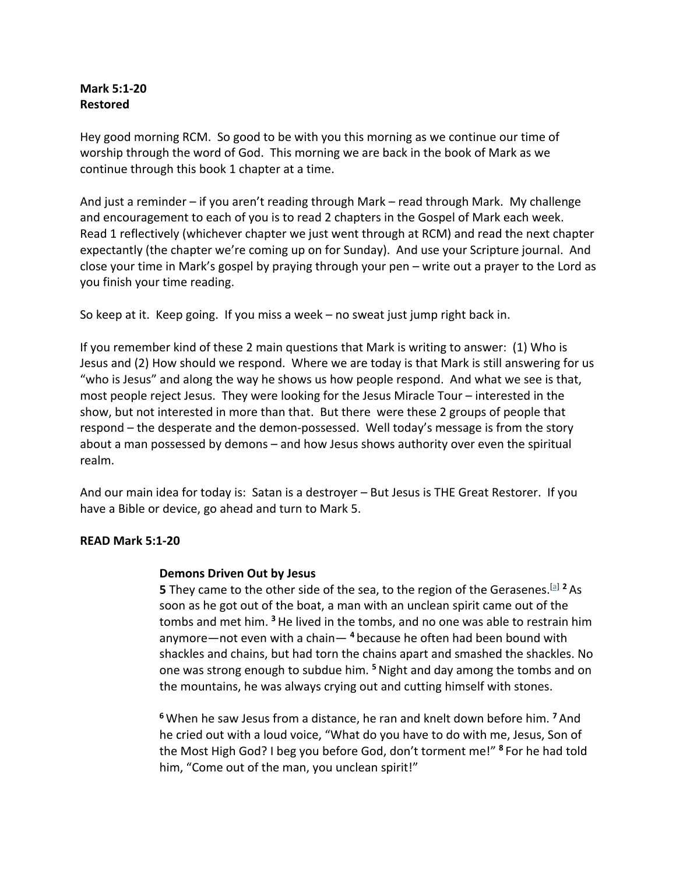#### **Mark 5:1-20 Restored**

Hey good morning RCM. So good to be with you this morning as we continue our time of worship through the word of God. This morning we are back in the book of Mark as we continue through this book 1 chapter at a time.

And just a reminder – if you aren't reading through Mark – read through Mark. My challenge and encouragement to each of you is to read 2 chapters in the Gospel of Mark each week. Read 1 reflectively (whichever chapter we just went through at RCM) and read the next chapter expectantly (the chapter we're coming up on for Sunday). And use your Scripture journal. And close your time in Mark's gospel by praying through your pen – write out a prayer to the Lord as you finish your time reading.

So keep at it. Keep going. If you miss a week – no sweat just jump right back in.

If you remember kind of these 2 main questions that Mark is writing to answer: (1) Who is Jesus and (2) How should we respond. Where we are today is that Mark is still answering for us "who is Jesus" and along the way he shows us how people respond. And what we see is that, most people reject Jesus. They were looking for the Jesus Miracle Tour – interested in the show, but not interested in more than that. But there were these 2 groups of people that respond – the desperate and the demon-possessed. Well today's message is from the story about a man possessed by demons – and how Jesus shows authority over even the spiritual realm.

And our main idea for today is: Satan is a destroyer – But Jesus is THE Great Restorer. If you have a Bible or device, go ahead and turn to Mark 5.

#### **READ Mark 5:1-20**

#### **Demons Driven Out by Jesus**

**5** They came to the other side of the sea, to the region of the Gerasenes.[a] **<sup>2</sup>** As soon as he got out of the boat, a man with an unclean spirit came out of the tombs and met him. **<sup>3</sup>**He lived in the tombs, and no one was able to restrain him anymore—not even with a chain— **<sup>4</sup>** because he often had been bound with shackles and chains, but had torn the chains apart and smashed the shackles. No one was strong enough to subdue him. **<sup>5</sup>**Night and day among the tombs and on the mountains, he was always crying out and cutting himself with stones.

**<sup>6</sup>** When he saw Jesus from a distance, he ran and knelt down before him. **<sup>7</sup>** And he cried out with a loud voice, "What do you have to do with me, Jesus, Son of the Most High God? I beg you before God, don't torment me!" **<sup>8</sup>** For he had told him, "Come out of the man, you unclean spirit!"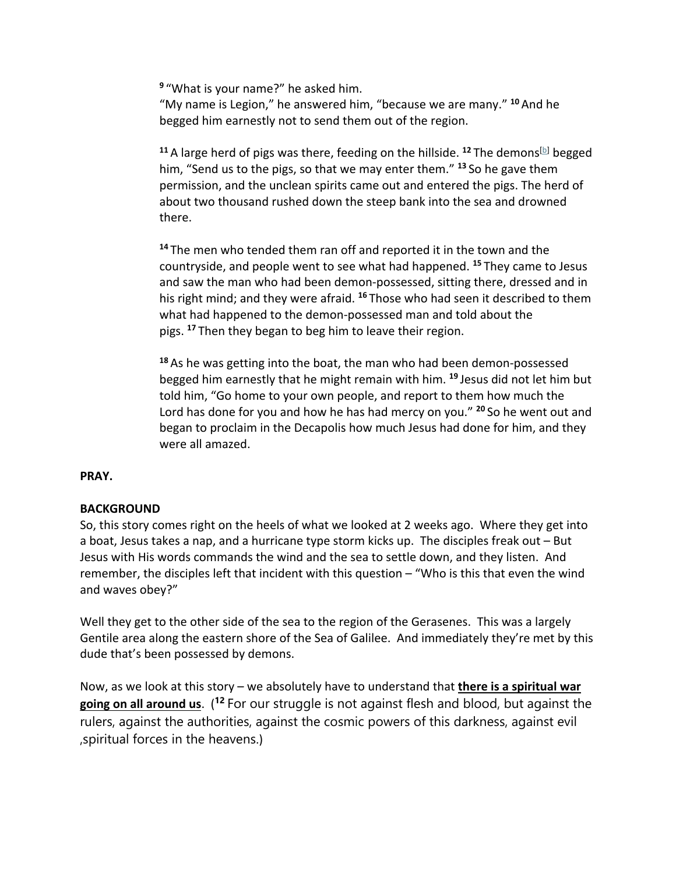**<sup>9</sup>** "What is your name?" he asked him. "My name is Legion," he answered him, "because we are many." **<sup>10</sup>** And he begged him earnestly not to send them out of the region.

<sup>11</sup> A large herd of pigs was there, feeding on the hillside. <sup>12</sup> The demons<sup>[b]</sup> begged him, "Send us to the pigs, so that we may enter them." **<sup>13</sup>** So he gave them permission, and the unclean spirits came out and entered the pigs. The herd of about two thousand rushed down the steep bank into the sea and drowned there.

**<sup>14</sup>** The men who tended them ran off and reported it in the town and the countryside, and people went to see what had happened. **<sup>15</sup>** They came to Jesus and saw the man who had been demon-possessed, sitting there, dressed and in his right mind; and they were afraid. **<sup>16</sup>** Those who had seen it described to them what had happened to the demon-possessed man and told about the pigs. **<sup>17</sup>** Then they began to beg him to leave their region.

**<sup>18</sup>** As he was getting into the boat, the man who had been demon-possessed begged him earnestly that he might remain with him. **<sup>19</sup>** Jesus did not let him but told him, "Go home to your own people, and report to them how much the Lord has done for you and how he has had mercy on you." **<sup>20</sup>** So he went out and began to proclaim in the Decapolis how much Jesus had done for him, and they were all amazed.

# **PRAY.**

# **BACKGROUND**

So, this story comes right on the heels of what we looked at 2 weeks ago. Where they get into a boat, Jesus takes a nap, and a hurricane type storm kicks up. The disciples freak out – But Jesus with His words commands the wind and the sea to settle down, and they listen. And remember, the disciples left that incident with this question – "Who is this that even the wind and waves obey?"

Well they get to the other side of the sea to the region of the Gerasenes. This was a largely Gentile area along the eastern shore of the Sea of Galilee. And immediately they're met by this dude that's been possessed by demons.

Now, as we look at this story – we absolutely have to understand that **there is a spiritual war going on all around us**. ( **<sup>12</sup>** For our struggle is not against flesh and blood, but against the rulers, against the authorities, against the cosmic powers of this darkness, against evil ,spiritual forces in the heavens.)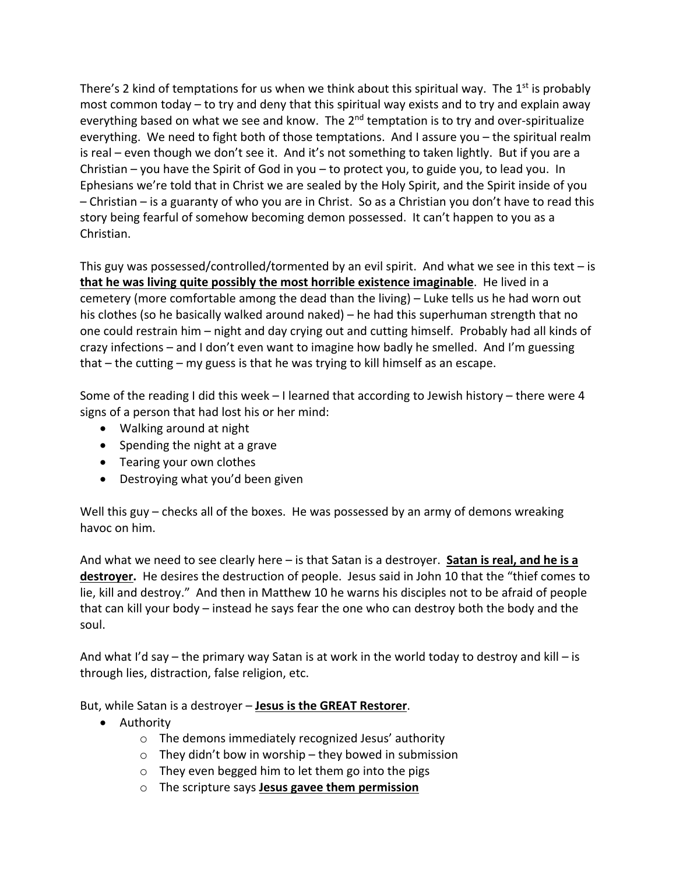There's 2 kind of temptations for us when we think about this spiritual way. The  $1^{st}$  is probably most common today – to try and deny that this spiritual way exists and to try and explain away everything based on what we see and know. The 2<sup>nd</sup> temptation is to try and over-spiritualize everything. We need to fight both of those temptations. And I assure you – the spiritual realm is real – even though we don't see it. And it's not something to taken lightly. But if you are a Christian – you have the Spirit of God in you – to protect you, to guide you, to lead you. In Ephesians we're told that in Christ we are sealed by the Holy Spirit, and the Spirit inside of you – Christian – is a guaranty of who you are in Christ. So as a Christian you don't have to read this story being fearful of somehow becoming demon possessed. It can't happen to you as a Christian.

This guy was possessed/controlled/tormented by an evil spirit. And what we see in this text  $-$  is **that he was living quite possibly the most horrible existence imaginable**. He lived in a cemetery (more comfortable among the dead than the living) – Luke tells us he had worn out his clothes (so he basically walked around naked) – he had this superhuman strength that no one could restrain him – night and day crying out and cutting himself. Probably had all kinds of crazy infections – and I don't even want to imagine how badly he smelled. And I'm guessing that – the cutting – my guess is that he was trying to kill himself as an escape.

Some of the reading I did this week – I learned that according to Jewish history – there were 4 signs of a person that had lost his or her mind:

- Walking around at night
- Spending the night at a grave
- Tearing your own clothes
- Destroying what you'd been given

Well this guy – checks all of the boxes. He was possessed by an army of demons wreaking havoc on him.

And what we need to see clearly here – is that Satan is a destroyer. **Satan is real, and he is a destroyer.** He desires the destruction of people. Jesus said in John 10 that the "thief comes to lie, kill and destroy." And then in Matthew 10 he warns his disciples not to be afraid of people that can kill your body – instead he says fear the one who can destroy both the body and the soul.

And what I'd say – the primary way Satan is at work in the world today to destroy and kill – is through lies, distraction, false religion, etc.

But, while Satan is a destroyer – **Jesus is the GREAT Restorer**.

- Authority
	- o The demons immediately recognized Jesus' authority
	- $\circ$  They didn't bow in worship they bowed in submission
	- o They even begged him to let them go into the pigs
	- o The scripture says **Jesus gavee them permission**